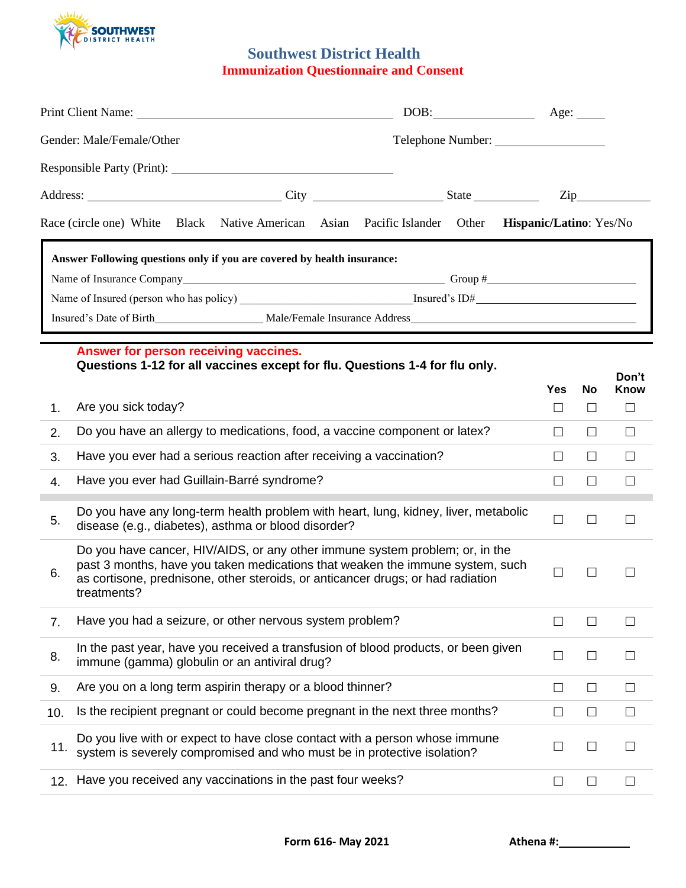

## **Southwest District Health Immunization Questionnaire and Consent**

| Gender: Male/Female/Other | Telephone Number:                                                                                                                                                                                                                                               |                   |            |              |                |
|---------------------------|-----------------------------------------------------------------------------------------------------------------------------------------------------------------------------------------------------------------------------------------------------------------|-------------------|------------|--------------|----------------|
|                           | Responsible Party (Print): 1996. The Contract of the Contract of the Contract of the Contract of the Contract of the Contract of the Contract of the Contract of the Contract of the Contract of the Contract of the Contract                                   |                   |            |              |                |
|                           |                                                                                                                                                                                                                                                                 |                   |            |              | $\mathsf{Zip}$ |
|                           | Race (circle one) White Black Native American Asian Pacific Islander Other Hispanic/Latino: Yes/No                                                                                                                                                              |                   |            |              |                |
|                           | Answer Following questions only if you are covered by health insurance:                                                                                                                                                                                         |                   |            |              |                |
|                           |                                                                                                                                                                                                                                                                 |                   |            |              |                |
|                           |                                                                                                                                                                                                                                                                 |                   |            |              |                |
|                           |                                                                                                                                                                                                                                                                 |                   |            |              |                |
|                           | Answer for person receiving vaccines.                                                                                                                                                                                                                           |                   |            |              |                |
|                           | Questions 1-12 for all vaccines except for flu. Questions 1-4 for flu only.                                                                                                                                                                                     |                   |            |              |                |
|                           |                                                                                                                                                                                                                                                                 |                   | <b>Yes</b> | <b>No</b>    | Don't<br>Know  |
| 1.                        | Are you sick today?                                                                                                                                                                                                                                             |                   | $\Box$     | $\Box$       | $\Box$         |
| 2.                        | Do you have an allergy to medications, food, a vaccine component or latex?                                                                                                                                                                                      |                   | $\perp$    | $\Box$       | ⊔              |
| 3.                        | Have you ever had a serious reaction after receiving a vaccination?                                                                                                                                                                                             | $\perp$           | $\Box$     | $\perp$      |                |
| 4.                        | Have you ever had Guillain-Barré syndrome?                                                                                                                                                                                                                      | $\Box$            | $\Box$     | $\Box$       |                |
| 5.                        | Do you have any long-term health problem with heart, lung, kidney, liver, metabolic<br>disease (e.g., diabetes), asthma or blood disorder?                                                                                                                      | $\Box$            | П          | $\Box$       |                |
| 6.                        | Do you have cancer, HIV/AIDS, or any other immune system problem; or, in the<br>past 3 months, have you taken medications that weaken the immune system, such<br>as cortisone, prednisone, other steroids, or anticancer drugs; or had radiation<br>treatments? |                   |            |              |                |
| 7.                        | Have you had a seizure, or other nervous system problem?                                                                                                                                                                                                        |                   |            | $\mathsf{L}$ | $\Box$         |
| 8.                        | In the past year, have you received a transfusion of blood products, or been given<br>immune (gamma) globulin or an antiviral drug?                                                                                                                             |                   | $\Box$     | $\Box$       | $\Box$         |
| 9.                        | Are you on a long term aspirin therapy or a blood thinner?                                                                                                                                                                                                      |                   | $\Box$     | П            | ⊔              |
| 10.                       | Is the recipient pregnant or could become pregnant in the next three months?                                                                                                                                                                                    | $\vert \ \ \vert$ | $\Box$     | $\perp$      |                |
| 11.                       | Do you live with or expect to have close contact with a person whose immune<br>system is severely compromised and who must be in protective isolation?                                                                                                          |                   | $\Box$     | П            | $\Box$         |
| 12.                       | Have you received any vaccinations in the past four weeks?                                                                                                                                                                                                      |                   | $\Box$     | ш            | $\Box$         |